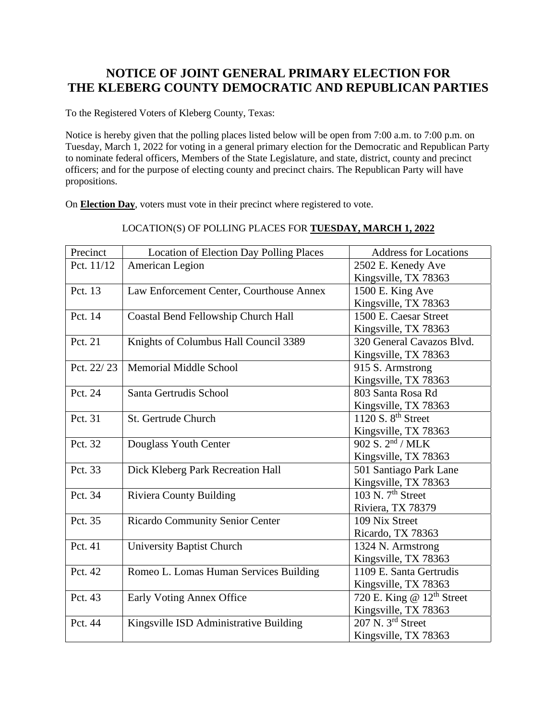## **NOTICE OF JOINT GENERAL PRIMARY ELECTION FOR THE KLEBERG COUNTY DEMOCRATIC AND REPUBLICAN PARTIES**

To the Registered Voters of Kleberg County, Texas:

Notice is hereby given that the polling places listed below will be open from 7:00 a.m. to 7:00 p.m. on Tuesday, March 1, 2022 for voting in a general primary election for the Democratic and Republican Party to nominate federal officers, Members of the State Legislature, and state, district, county and precinct officers; and for the purpose of electing county and precinct chairs. The Republican Party will have propositions.

On **Election Day**, voters must vote in their precinct where registered to vote.

| LOCATION(S) OF POLLING PLACES FOR TUESDAY, MARCH 1, 2022 |  |
|----------------------------------------------------------|--|
|                                                          |  |

| Precinct   | <b>Location of Election Day Polling Places</b> | <b>Address for Locations</b>               |  |
|------------|------------------------------------------------|--------------------------------------------|--|
| Pct. 11/12 | American Legion                                | 2502 E. Kenedy Ave                         |  |
|            |                                                | Kingsville, TX 78363                       |  |
| Pct. 13    | Law Enforcement Center, Courthouse Annex       | 1500 E. King Ave                           |  |
|            |                                                | Kingsville, TX 78363                       |  |
| Pct. 14    | Coastal Bend Fellowship Church Hall            | 1500 E. Caesar Street                      |  |
|            |                                                | Kingsville, TX 78363                       |  |
| Pct. 21    | Knights of Columbus Hall Council 3389          | 320 General Cavazos Blvd.                  |  |
|            |                                                | Kingsville, TX 78363                       |  |
| Pct. 22/23 | <b>Memorial Middle School</b>                  | 915 S. Armstrong                           |  |
|            |                                                | Kingsville, TX 78363                       |  |
| Pct. 24    | Santa Gertrudis School                         | 803 Santa Rosa Rd                          |  |
|            |                                                | Kingsville, TX 78363                       |  |
| Pct. 31    | St. Gertrude Church                            | 1120 S. $8th$ Street                       |  |
|            |                                                | Kingsville, TX 78363                       |  |
| Pct. 32    | Douglass Youth Center                          | $\overline{902}$ S. $2nd$ / MLK            |  |
|            |                                                | Kingsville, TX 78363                       |  |
| Pct. 33    | Dick Kleberg Park Recreation Hall              | 501 Santiago Park Lane                     |  |
|            |                                                | Kingsville, TX 78363                       |  |
| Pct. 34    | <b>Riviera County Building</b>                 | $\overline{103}$ N. 7 <sup>th</sup> Street |  |
|            |                                                | Riviera, TX 78379                          |  |
| Pct. 35    | <b>Ricardo Community Senior Center</b>         | 109 Nix Street                             |  |
|            |                                                | Ricardo, TX 78363                          |  |
| Pct. 41    | <b>University Baptist Church</b>               | 1324 N. Armstrong                          |  |
|            |                                                | Kingsville, TX 78363                       |  |
| Pct. 42    | Romeo L. Lomas Human Services Building         | 1109 E. Santa Gertrudis                    |  |
|            |                                                | Kingsville, TX 78363                       |  |
| Pct. 43    | Early Voting Annex Office                      | 720 E. King @ $12th$ Street                |  |
|            |                                                | Kingsville, TX 78363                       |  |
| Pct. 44    | Kingsville ISD Administrative Building         | 207 N. 3rd Street                          |  |
|            |                                                | Kingsville, TX 78363                       |  |